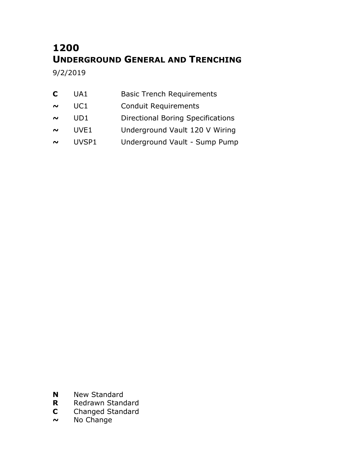# **1200 UNDERGROUND GENERAL AND TRENCHING**

9/2/2019

| C      | UA1              | <b>Basic Trench Requirements</b>         |
|--------|------------------|------------------------------------------|
| $\sim$ | UC1.             | <b>Conduit Requirements</b>              |
| $\sim$ | UD <sub>1</sub>  | <b>Directional Boring Specifications</b> |
| $\sim$ | UVE <sub>1</sub> | Underground Vault 120 V Wiring           |
| $\sim$ | UVSP1            | Underground Vault - Sump Pump            |

- **N** New Standard<br>**R** Redrawn Stand
- **R** Redrawn Standard<br>**C** Changed Standard
- **Changed Standard**
- **~** No Change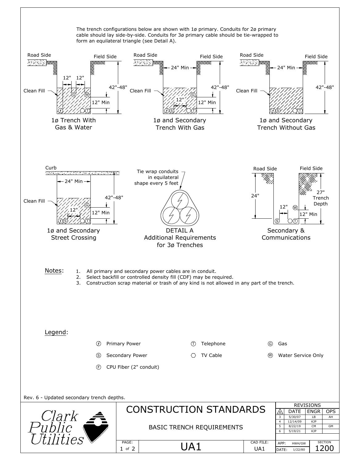<span id="page-1-0"></span>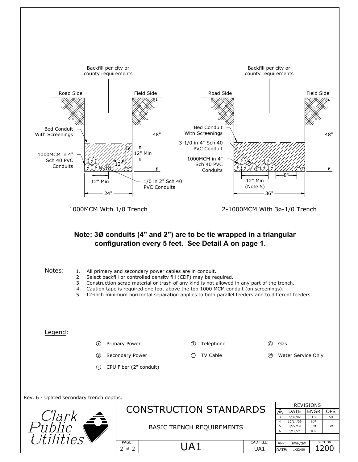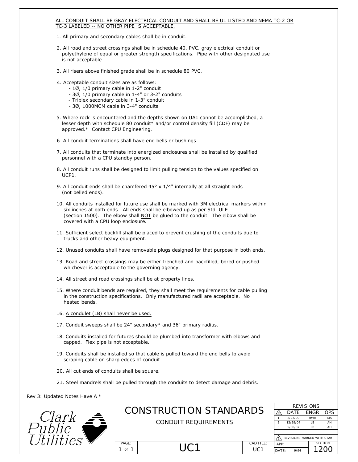#### <span id="page-3-0"></span>ALL CONDUIT SHALL BE GRAY ELECTRICAL CONDUIT AND SHALL BE UL LISTED AND NEMA TC-2 OR TC-3 LABELED -- NO OTHER PIPE IS ACCEPTABLE.

- 1. All primary and secondary cables shall be in conduit.
- 2. All road and street crossings shall be in schedule 40, PVC, gray electrical conduit or polyethylene of equal or greater strength specifications. Pipe with other designated use is not acceptable.
- 3. All risers above finished grade shall be in schedule 80 PVC.
- 4. Acceptable conduit sizes are as follows:
	- 1Ø, 1/0 primary cable in 1-2" conduit
	- 3Ø, 1/0 primary cable in 1-4" or 3-2" conduits
	- Triplex secondary cable in 1-3" conduit
	- 3Ø, 1000MCM cable in 3-4" conduits
- 5. Where rock is encountered and the depths shown on UA1 cannot be accomplished, a lesser depth with schedule 80 conduit\* and/or control density fill (CDF) may be approved.\* Contact CPU Engineering.
- 6. All conduit terminations shall have end bells or bushings.
- 7. All conduits that terminate into energized enclosures shall be installed by qualified personnel with a CPU standby person.
- 8. All conduit runs shall be designed to limit pulling tension to the values specified on UCP1.
- 9. All conduit ends shall be chamfered 45° x 1/4" internally at all straight ends (not belled ends).
- 10. All conduits installed for future use shall be marked with 3M electrical markers within six inches at both ends. All ends shall be elbowed up as per Std. ULE (section 1500). The elbow shall NOT be glued to the conduit. The elbow shall be covered with a CPU loop enclosure.
- 11. Sufficient select backfill shall be placed to prevent crushing of the conduits due to trucks and other heavy equipment.
- 12. Unused conduits shall have removable plugs designed for that purpose in both ends.
- 13. Road and street crossings may be either trenched and backfilled, bored or pushed whichever is acceptable to the governing agency.
- 14. All street and road crossings shall be at property lines.
- 15. Where conduit bends are required, they shall meet the requirements for cable pulling in the construction specifications. Only manufactured radii are acceptable. No heated bends.
- 16. A condulet (LB) shall never be used.
- 17. Conduit sweeps shall be 24" secondary\* and 36" primary radius.
- 18. Conduits installed for futures should be plumbed into transformer with elbows and capped. Flex pipe is not acceptable.
- 19. Conduits shall be installed so that cable is pulled toward the end bells to avoid scraping cable on sharp edges of conduit.
- 20. All cut ends of conduits shall be square.
- 21. Steel mandrels shall be pulled through the conduits to detect damage and debris.

Rev 3: Updated Notes Have A \*

|        |                        |  |           |       | <b>REVISIONS</b>           |             |                |  |
|--------|------------------------|--|-----------|-------|----------------------------|-------------|----------------|--|
| アマ     | CONSTRUCTION STANDARDS |  |           | , к   | <b>DATE</b>                | <b>ENGR</b> | <b>OPS</b>     |  |
|        |                        |  |           |       | 2/23/00                    | <b>HWH</b>  | MA             |  |
| ▞፞፟፞፝፝ | CONDUIT REQUIREMENTS   |  |           |       | 12/29/04                   | LB          | AH             |  |
|        |                        |  |           | 3     | 5/30/07                    | LB          | AH             |  |
|        |                        |  |           |       |                            |             |                |  |
|        |                        |  |           |       | REVISIONS MARKED WITH STAR |             |                |  |
|        | PAGE:                  |  | CAD FILE: | APP:  |                            |             | <b>SECTION</b> |  |
|        | $1$ of                 |  | UC 1      | DATE: | 9/94                       |             | 200            |  |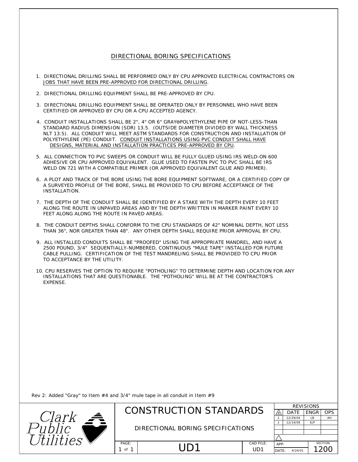#### DIRECTIONAL BORING SPECIFICATIONS

- <span id="page-4-0"></span>1. DIRECTIONAL DRILLING SHALL BE PERFORMED ONLY BY CPU APPROVED ELECTRICAL CONTRACTORS ON JOBS THAT HAVE BEEN PRE-APPROVED FOR DIRECTIONAL DRILLING.
- 2. DIRECTIONAL DRILLING EQUIPMENT SHALL BE PRE-APPROVED BY CPU.
- 3. DIRECTIONAL DRILLING EQUIPMENT SHALL BE OPERATED ONLY BY PERSONNEL WHO HAVE BEEN CERTIFIED OR APPROVED BY CPU OR A CPU ACCEPTED AGENCY.
- 4. CONDUIT INSTALLATIONS SHALL BE 2", 4" OR 6" GRAY#POLYETHYLENE PIPE OF NOT-LESS-THAN STANDARD RADIUS DIMENSION (SDR) 13.5. (OUTSIDE DIAMETER DIVIDED BY WALL THICKNESS NLT 13.5). ALL CONDUIT WILL MEET ASTM STANDARDS FOR CONSTRUCTION AND INSTALLATION OF POLYETHYLENE (PE) CONDUIT. CONDUIT INSTALLATIONS USING PVC CONDUIT SHALL HAVE DESIGNS, MATERIAL AND INSTALLATION PRACTICES PRE-APPROVED BY CPU.
- 5. ALL CONNECTION TO PVC SWEEPS OR CONDUIT WILL BE FULLY GLUED USING IRS WELD-ON 600 ADHESIVE OR CPU APPROVED EQUIVALENT. GLUE USED TO FASTEN PVC TO PVC SHALL BE IRS WELD ON 721 WITH A COMPATIBLE PRIMER (OR APPROVED EQUIVALENT GLUE AND PRIMER).
- 6. A PLOT AND TRACK OF THE BORE USING THE BORE EQUIPMENT SOFTWARE, OR A CERTIFIED COPY OF A SURVEYED PROFILE OF THE BORE, SHALL BE PROVIDED TO CPU BEFORE ACCEPTANCE OF THE INSTALLATION.
- 7. THE DEPTH OF THE CONDUIT SHALL BE IDENTIFIED BY A STAKE WITH THE DEPTH EVERY 10 FEET ALONG THE ROUTE IN UNPAVED AREAS AND BY THE DEPTH WRITTEN IN MARKER PAINT EVERY 10 FEET ALONG ALONG THE ROUTE IN PAVED AREAS.
- 8. THE CONDUIT DEPTHS SHALL CONFORM TO THE CPU STANDARDS OF 42" NOMINAL DEPTH, NOT LESS THAN 36", NOR GREATER THAN 48". ANY OTHER DEPTH SHALL REQUIRE PRIOR APPROVAL BY CPU.
- 9. ALL INSTALLED CONDUITS SHALL BE "PROOFED" USING THE APPROPRIATE MANDREL, AND HAVE A 2500 POUND, 3/4" SEQUENTIALLY-NUMBERED, CONTINUOUS "MULE TAPE" INSTALLED FOR FUTURE CABLE PULLING. CERTIFICATION OF THE TEST MANDRELING SHALL BE PROVIDED TO CPU PRIOR TO ACCEPTANCE BY THE UTILITY.
- 10. CPU RESERVES THE OPTION TO REQUIRE "POTHOLING" TO DETERMINE DEPTH AND LOCATION FOR ANY INSTALLATIONS THAT ARE QUESTIONABLE. THE "POTHOLING" WILL BE AT THE CONTRACTOR'S EXPENSE.

Rev 2: Added "Gray" to Item #4 and 3/4" mule tape in all conduit in Item #9



DIRECTIONAL BORING SPECIFICATIONS

DATE  $\frac{\text{APP:}}{\text{DATE:}}$   $\frac{\text{SECTION}}{1200}$ CONSTRUCTION STANDARDS  $\overline{\mathbb{R}}$ DATE:  $4/24/01$ ENGR REVISIONS OPS PAGE:<br>  $\frac{PAGE: \text{UD1}}{1 \text{ of } 1}$  UD1  $\frac{CAD FILE: \text{APP:} \text{SECTON}}{DATE: \text{4/24/01}}$  1200  $\frac{R}{R}$  DATE ENGR OPS  $\begin{array}{|l|} \hline \text{R} \text{N} & \text{DATE} & \text{ENG} \ \hline \text{1} & \text{12/29/04} & \text{LB} \ \text{2} & \text{12/14/09} & \text{KJP} \ \hline \end{array}$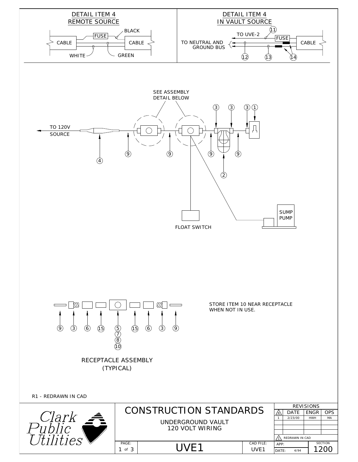<span id="page-5-0"></span>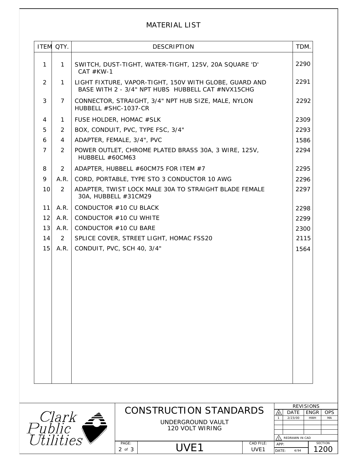## MATERIAL LIST

|                | ITEM QTY.      |                                     |                                         | <b>DESCRIPTION</b>                                                                                          |                  | TDM.                                                                                        |                                                                  |
|----------------|----------------|-------------------------------------|-----------------------------------------|-------------------------------------------------------------------------------------------------------------|------------------|---------------------------------------------------------------------------------------------|------------------------------------------------------------------|
| 1              | 1              | $CAT$ #KW-1                         |                                         | SWITCH, DUST-TIGHT, WATER-TIGHT, 125V, 20A SQUARE 'D'                                                       |                  | 2290                                                                                        |                                                                  |
| 2              | 1              |                                     |                                         | LIGHT FIXTURE, VAPOR-TIGHT, 150V WITH GLOBE, GUARD AND<br>BASE WITH 2 - 3/4" NPT HUBS HUBBELL CAT #NVX15CHG |                  | 2291                                                                                        |                                                                  |
| 3              | $\tau$         | HUBBELL #SHC-1037-CR                |                                         | CONNECTOR, STRAIGHT, 3/4" NPT HUB SIZE, MALE, NYLON                                                         |                  | 2292                                                                                        |                                                                  |
| 4              | 1              | FUSE HOLDER, HOMAC #SLK             |                                         |                                                                                                             |                  | 2309                                                                                        |                                                                  |
| $\overline{5}$ | 2              |                                     |                                         | BOX, CONDUIT, PVC, TYPE FSC, 3/4"                                                                           |                  | 2293                                                                                        |                                                                  |
| 6              | $\overline{4}$ | ADAPTER, FEMALE, 3/4", PVC          |                                         |                                                                                                             |                  | 1586                                                                                        |                                                                  |
| $\tau$         | 2              | HUBBELL #60CM63                     |                                         | POWER OUTLET, CHROME PLATED BRASS 30A, 3 WIRE, 125V,                                                        |                  | 2294                                                                                        |                                                                  |
| 8              | 2              |                                     |                                         | ADAPTER, HUBBELL #60CM75 FOR ITEM #7                                                                        |                  | 2295                                                                                        |                                                                  |
| 9              | A.R.           |                                     |                                         | CORD, PORTABLE, TYPE STO 3 CONDUCTOR 10 AWG                                                                 |                  | 2296                                                                                        |                                                                  |
| 10             | 2              | 30A, HUBBELL #31CM29                |                                         | ADAPTER, TWIST LOCK MALE 30A TO STRAIGHT BLADE FEMALE                                                       |                  | 2297                                                                                        |                                                                  |
| 11             | A.R.           | CONDUCTOR #10 CU BLACK              |                                         |                                                                                                             |                  | 2298                                                                                        |                                                                  |
| 12             | A.R.           | CONDUCTOR #10 CU WHITE              |                                         |                                                                                                             |                  | 2299                                                                                        |                                                                  |
| 13             | A.R.           | CONDUCTOR #10 CU BARE               |                                         |                                                                                                             |                  | 2300                                                                                        |                                                                  |
| 14             | $\mathbf{2}$   |                                     | SPLICE COVER, STREET LIGHT, HOMAC FSS20 |                                                                                                             |                  |                                                                                             |                                                                  |
|                |                |                                     |                                         |                                                                                                             |                  |                                                                                             |                                                                  |
|                |                | <i>Clark</i><br>Public<br>Utilities | PAGE:                                   | <b>CONSTRUCTION STANDARDS</b><br>UNDERGROUND VAULT<br>120 VOLT WIRING                                       | CAD FILE:        | <b>REVISIONS</b><br>⁄r\<br><b>DATE</b><br>2/23/00<br>$\mathbf{1}$<br>REDRAWN IN CAD<br>APP: | ${\rm ENGR}$<br><b>OPS</b><br><b>HWH</b><br>MA<br><b>SECTION</b> |
|                |                |                                     | $2 \text{ of } 3$                       | UVE1                                                                                                        | UVE <sub>1</sub> | DATE:<br>4/94                                                                               | 1200                                                             |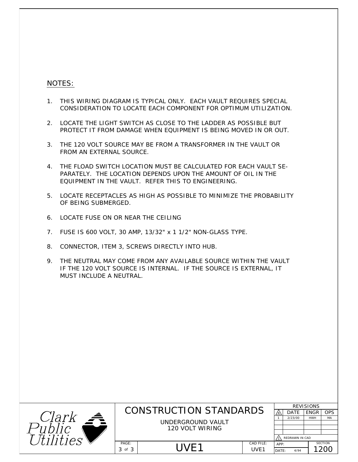### NOTES:

- THIS WIRING DIAGRAM IS TYPICAL ONLY. EACH VAULT REQUIRES SPECIAL 1. CONSIDERATION TO LOCATE EACH COMPONENT FOR OPTIMUM UTILIZATION.
- LOCATE THE LIGHT SWITCH AS CLOSE TO THE LADDER AS POSSIBLE BUT 2. PROTECT IT FROM DAMAGE WHEN EQUIPMENT IS BEING MOVED IN OR OUT.
- THE 120 VOLT SOURCE MAY BE FROM A TRANSFORMER IN THE VAULT OR 3. FROM AN EXTERNAL SOURCE.
- THE FLOAD SWITCH LOCATION MUST BE CALCULATED FOR EACH VAULT SE-4. PARATELY. THE LOCATION DEPENDS UPON THE AMOUNT OF OIL IN THE EQUIPMENT IN THE VAULT. REFER THIS TO ENGINEERING.
- LOCATE RECEPTACLES AS HIGH AS POSSIBLE TO MINIMIZE THE PROBABILITY 5. OF BEING SUBMERGED.
- LOCATE FUSE ON OR NEAR THE CEILING 6.
- FUSE IS 600 VOLT, 30 AMP, 13/32" x 1 1/2" NON-GLASS TYPE. 7.
- 8. CONNECTOR, ITEM 3, SCREWS DIRECTLY INTO HUB.
- THE NEUTRAL MAY COME FROM ANY AVAILABLE SOURCE WITHIN THE VAULT 9. IF THE 120 VOLT SOURCE IS INTERNAL. IF THE SOURCE IS EXTERNAL, IT MUST INCLUDE A NEUTRAL.

|            |                                      |  |                  | <b>REVISIONS</b> |                |             |                |
|------------|--------------------------------------|--|------------------|------------------|----------------|-------------|----------------|
|            | CONSTRUCTION STANDARDS               |  |                  |                  | <b>DATE</b>    | <b>ENGR</b> | <b>OPS</b>     |
| $\epsilon$ |                                      |  |                  |                  | 2/23/00        | <b>HWH</b>  | MA             |
|            | UNDERGROUND VAULT<br>120 VOLT WIRING |  |                  |                  |                |             |                |
|            |                                      |  |                  |                  |                |             |                |
|            |                                      |  |                  |                  | REDRAWN IN CAD |             |                |
|            | PAGE:                                |  | CAD FILE:        | APP:             |                |             | <b>SECTION</b> |
|            | 3 of 3                               |  | UVE <sub>1</sub> | DATE:            | 4/94           |             | 200            |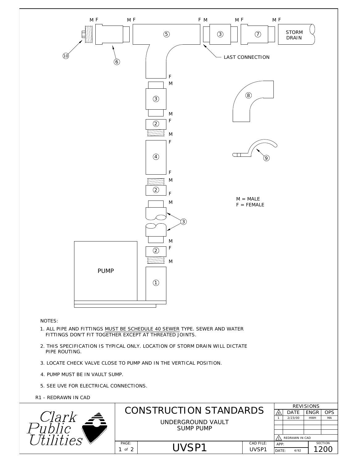<span id="page-8-0"></span>